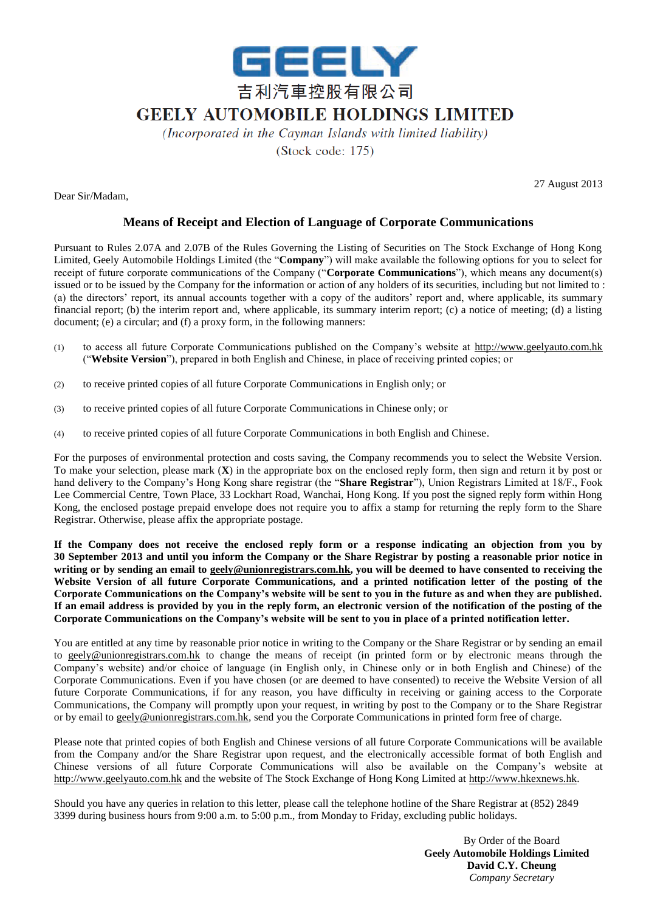

## **GEELY AUTOMOBILE HOLDINGS LIMITED**

(Incorporated in the Cayman Islands with limited liability) (Stock code: 175)

Dear Sir/Madam,

27 August 2013

## **Means of Receipt and Election of Language of Corporate Communications**

Pursuant to Rules 2.07A and 2.07B of the Rules Governing the Listing of Securities on The Stock Exchange of Hong Kong Limited, Geely Automobile Holdings Limited (the "**Company**") will make available the following options for you to select for receipt of future corporate communications of the Company ("**Corporate Communications**"), which means any document(s) issued or to be issued by the Company for the information or action of any holders of its securities, including but not limited to : (a) the directors' report, its annual accounts together with a copy of the auditors' report and, where applicable, its summary financial report; (b) the interim report and, where applicable, its summary interim report; (c) a notice of meeting; (d) a listing document; (e) a circular; and (f) a proxy form, in the following manners:

- (1) to access all future Corporate Communications published on the Company's website at http://www.geelyauto.com.hk ("**Website Version**"), prepared in both English and Chinese, in place of receiving printed copies; or
- (2) to receive printed copies of all future Corporate Communications in English only; or
- (3) to receive printed copies of all future Corporate Communications in Chinese only; or
- (4) to receive printed copies of all future Corporate Communications in both English and Chinese.

For the purposes of environmental protection and costs saving, the Company recommends you to select the Website Version. To make your selection, please mark (**X**) in the appropriate box on the enclosed reply form, then sign and return it by post or hand delivery to the Company's Hong Kong share registrar (the "**Share Registrar**"), Union Registrars Limited at 18/F., Fook Lee Commercial Centre, Town Place, 33 Lockhart Road, Wanchai, Hong Kong. If you post the signed reply form within Hong Kong, the enclosed postage prepaid envelope does not require you to affix a stamp for returning the reply form to the Share Registrar. Otherwise, please affix the appropriate postage.

**If the Company does not receive the enclosed reply form or a response indicating an objection from you by 30 September 2013 and until you inform the Company or the Share Registrar by posting a reasonable prior notice in writing or by sending an email to geely@unionregistrars.com.hk, you will be deemed to have consented to receiving the Website Version of all future Corporate Communications, and a printed notification letter of the posting of the Corporate Communications on the Company's website will be sent to you in the future as and when they are published. If an email address is provided by you in the reply form, an electronic version of the notification of the posting of the Corporate Communications on the Company's website will be sent to you in place of a printed notification letter.**

You are entitled at any time by reasonable prior notice in writing to the Company or the Share Registrar or by sending an email to geely@unionregistrars.com.hk to change the means of receipt (in printed form or by electronic means through the Company's website) and/or choice of language (in English only, in Chinese only or in both English and Chinese) of the Corporate Communications. Even if you have chosen (or are deemed to have consented) to receive the Website Version of all future Corporate Communications, if for any reason, you have difficulty in receiving or gaining access to the Corporate Communications, the Company will promptly upon your request, in writing by post to the Company or to the Share Registrar or by email to geely@unionregistrars.com.hk, send you the Corporate Communications in printed form free of charge.

Please note that printed copies of both English and Chinese versions of all future Corporate Communications will be available from the Company and/or the Share Registrar upon request, and the electronically accessible format of both English and Chinese versions of all future Corporate Communications will also be available on the Company's website at http://www.geelyauto.com.hk and the website of The Stock Exchange of Hong Kong Limited at http://www.hkexnews.hk.

Should you have any queries in relation to this letter, please call the telephone hotline of the Share Registrar at (852) 2849 3399 during business hours from 9:00 a.m. to 5:00 p.m., from Monday to Friday, excluding public holidays.

> By Order of the Board **Geely Automobile Holdings Limited David C.Y. Cheung** *Company Secretary*